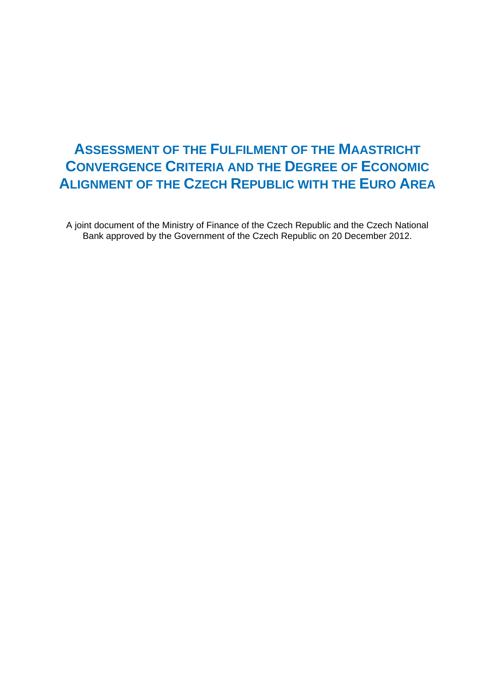# **ASSESSMENT OF THE FULFILMENT OF THE MAASTRICHT CONVERGENCE CRITERIA AND THE DEGREE OF ECONOMIC ALIGNMENT OF THE CZECH REPUBLIC WITH THE EURO AREA**

A joint document of the Ministry of Finance of the Czech Republic and the Czech National Bank approved by the Government of the Czech Republic on 20 December 2012.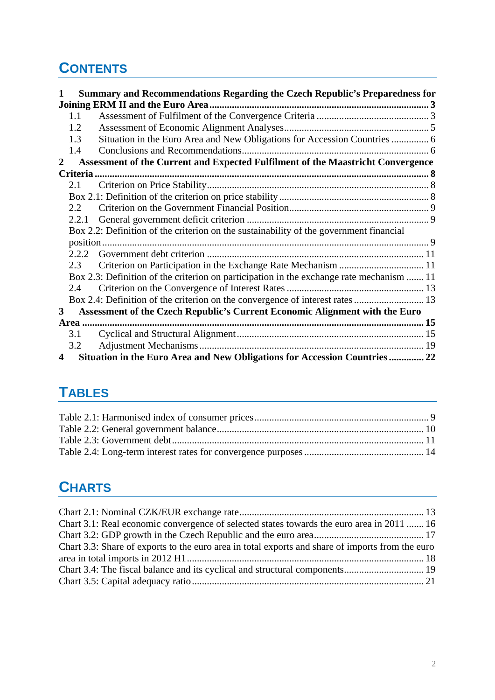# **CONTENTS**

|                         |       | Summary and Recommendations Regarding the Czech Republic's Preparedness for              |  |
|-------------------------|-------|------------------------------------------------------------------------------------------|--|
|                         |       |                                                                                          |  |
|                         | 1.1   |                                                                                          |  |
|                         | 1.2   |                                                                                          |  |
|                         | 1.3   | Situation in the Euro Area and New Obligations for Accession Countries  6                |  |
|                         | 1.4   |                                                                                          |  |
| 2                       |       | Assessment of the Current and Expected Fulfilment of the Maastricht Convergence          |  |
|                         |       |                                                                                          |  |
|                         | 2.1   |                                                                                          |  |
|                         |       |                                                                                          |  |
|                         | 2.2   |                                                                                          |  |
|                         | 2.2.1 |                                                                                          |  |
|                         |       | Box 2.2: Definition of the criterion on the sustainability of the government financial   |  |
|                         |       |                                                                                          |  |
|                         |       |                                                                                          |  |
|                         | 2.3   | Criterion on Participation in the Exchange Rate Mechanism  11                            |  |
|                         |       | Box 2.3: Definition of the criterion on participation in the exchange rate mechanism  11 |  |
|                         | 2.4   |                                                                                          |  |
|                         |       |                                                                                          |  |
| 3                       |       | Assessment of the Czech Republic's Current Economic Alignment with the Euro              |  |
|                         |       |                                                                                          |  |
|                         | 3.1   |                                                                                          |  |
|                         | 3.2   |                                                                                          |  |
| $\overline{\mathbf{4}}$ |       | Situation in the Euro Area and New Obligations for Accession Countries  22               |  |

# **TABLES**

# **CHARTS**

| Chart 3.1: Real economic convergence of selected states towards the euro area in 2011  16        |  |
|--------------------------------------------------------------------------------------------------|--|
|                                                                                                  |  |
| Chart 3.3: Share of exports to the euro area in total exports and share of imports from the euro |  |
|                                                                                                  |  |
|                                                                                                  |  |
|                                                                                                  |  |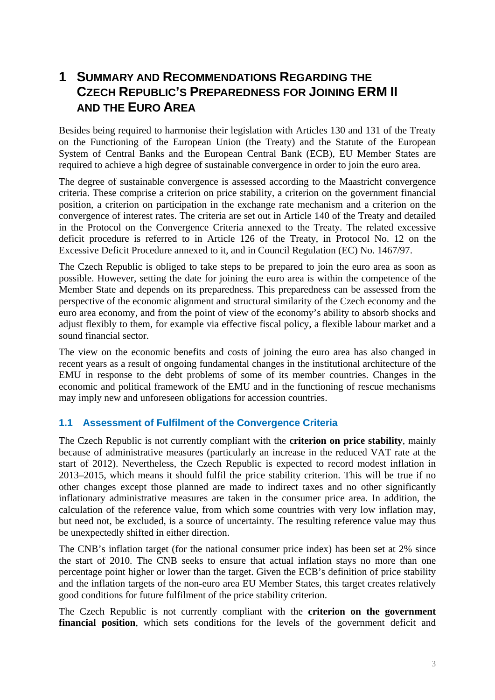# <span id="page-2-0"></span>**1 SUMMARY AND RECOMMENDATIONS REGARDING THE CZECH REPUBLIC'S PREPAREDNESS FOR JOINING ERM II AND THE EURO AREA**

Besides being required to harmonise their legislation with Articles 130 and 131 of the Treaty on the Functioning of the European Union (the Treaty) and the Statute of the European System of Central Banks and the European Central Bank (ECB), EU Member States are required to achieve a high degree of sustainable convergence in order to join the euro area.

The degree of sustainable convergence is assessed according to the Maastricht convergence criteria. These comprise a criterion on price stability, a criterion on the government financial position, a criterion on participation in the exchange rate mechanism and a criterion on the convergence of interest rates. The criteria are set out in Article 140 of the Treaty and detailed in the Protocol on the Convergence Criteria annexed to the Treaty. The related excessive deficit procedure is referred to in Article 126 of the Treaty, in Protocol No. 12 on the Excessive Deficit Procedure annexed to it, and in Council Regulation (EC) No. 1467/97.

The Czech Republic is obliged to take steps to be prepared to join the euro area as soon as possible. However, setting the date for joining the euro area is within the competence of the Member State and depends on its preparedness. This preparedness can be assessed from the perspective of the economic alignment and structural similarity of the Czech economy and the euro area economy, and from the point of view of the economy's ability to absorb shocks and adjust flexibly to them, for example via effective fiscal policy, a flexible labour market and a sound financial sector.

The view on the economic benefits and costs of joining the euro area has also changed in recent years as a result of ongoing fundamental changes in the institutional architecture of the EMU in response to the debt problems of some of its member countries. Changes in the economic and political framework of the EMU and in the functioning of rescue mechanisms may imply new and unforeseen obligations for accession countries.

### <span id="page-2-1"></span>**1.1 Assessment of Fulfilment of the Convergence Criteria**

The Czech Republic is not currently compliant with the **criterion on price stability**, mainly because of administrative measures (particularly an increase in the reduced VAT rate at the start of 2012). Nevertheless, the Czech Republic is expected to record modest inflation in 2013–2015, which means it should fulfil the price stability criterion. This will be true if no other changes except those planned are made to indirect taxes and no other significantly inflationary administrative measures are taken in the consumer price area. In addition, the calculation of the reference value, from which some countries with very low inflation may, but need not, be excluded, is a source of uncertainty. The resulting reference value may thus be unexpectedly shifted in either direction.

The CNB's inflation target (for the national consumer price index) has been set at 2% since the start of 2010. The CNB seeks to ensure that actual inflation stays no more than one percentage point higher or lower than the target. Given the ECB's definition of price stability and the inflation targets of the non-euro area EU Member States, this target creates relatively good conditions for future fulfilment of the price stability criterion.

The Czech Republic is not currently compliant with the **criterion on the government**  financial position, which sets conditions for the levels of the government deficit and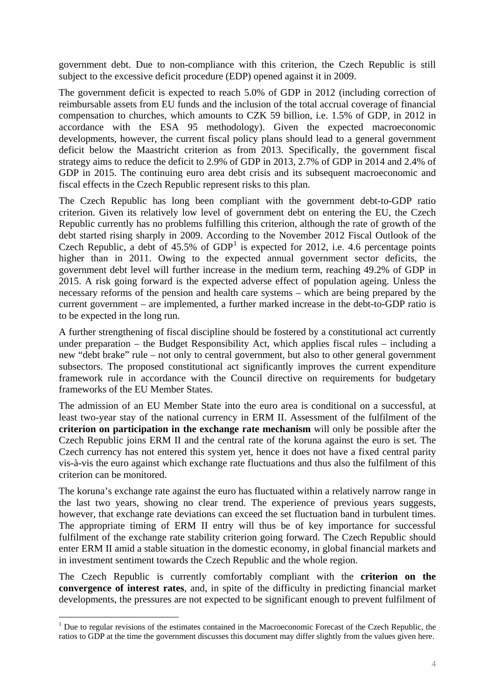government debt. Due to non-compliance with this criterion, the Czech Republic is still subject to the excessive deficit procedure (EDP) opened against it in 2009.

The government deficit is expected to reach 5.0% of GDP in 2012 (including correction of reimbursable assets from EU funds and the inclusion of the total accrual coverage of financial compensation to churches, which amounts to CZK 59 billion, i.e. 1.5% of GDP, in 2012 in accordance with the ESA 95 methodology). Given the expected macroeconomic developments, however, the current fiscal policy plans should lead to a general government deficit below the Maastricht criterion as from 2013. Specifically, the government fiscal strategy aims to reduce the deficit to 2.9% of GDP in 2013, 2.7% of GDP in 2014 and 2.4% of GDP in 2015. The continuing euro area debt crisis and its subsequent macroeconomic and fiscal effects in the Czech Republic represent risks to this plan.

The Czech Republic has long been compliant with the government debt-to-GDP ratio criterion. Given its relatively low level of government debt on entering the EU, the Czech Republic currently has no problems fulfilling this criterion, although the rate of growth of the debt started rising sharply in 2009. According to the November 2012 Fiscal Outlook of the Czech Republic, a debt of  $45.5\%$  of GDP<sup>[1](#page-3-0)</sup> is expected for 2012, i.e. 4.6 percentage points higher than in 2011. Owing to the expected annual government sector deficits, the government debt level will further increase in the medium term, reaching 49.2% of GDP in 2015. A risk going forward is the expected adverse effect of population ageing. Unless the necessary reforms of the pension and health care systems – which are being prepared by the current government – are implemented, a further marked increase in the debt-to-GDP ratio is to be expected in the long run.

A further strengthening of fiscal discipline should be fostered by a constitutional act currently under preparation – the Budget Responsibility Act, which applies fiscal rules – including a new "debt brake" rule – not only to central government, but also to other general government subsectors. The proposed constitutional act significantly improves the current expenditure framework rule in accordance with the Council directive on requirements for budgetary frameworks of the EU Member States.

The admission of an EU Member State into the euro area is conditional on a successful, at least two-year stay of the national currency in ERM II. Assessment of the fulfilment of the **criterion on participation in the exchange rate mechanism** will only be possible after the Czech Republic joins ERM II and the central rate of the koruna against the euro is set. The Czech currency has not entered this system yet, hence it does not have a fixed central parity vis-à-vis the euro against which exchange rate fluctuations and thus also the fulfilment of this criterion can be monitored.

The koruna's exchange rate against the euro has fluctuated within a relatively narrow range in the last two years, showing no clear trend. The experience of previous years suggests, however, that exchange rate deviations can exceed the set fluctuation band in turbulent times. The appropriate timing of ERM II entry will thus be of key importance for successful fulfilment of the exchange rate stability criterion going forward. The Czech Republic should enter ERM II amid a stable situation in the domestic economy, in global financial markets and in investment sentiment towards the Czech Republic and the whole region.

The Czech Republic is currently comfortably compliant with the **criterion on the convergence of interest rates**, and, in spite of the difficulty in predicting financial market developments, the pressures are not expected to be significant enough to prevent fulfilment of

1

<span id="page-3-0"></span><sup>&</sup>lt;sup>1</sup> Due to regular revisions of the estimates contained in the Macroeconomic Forecast of the Czech Republic, the ratios to GDP at the time the government discusses this document may differ slightly from the values given here.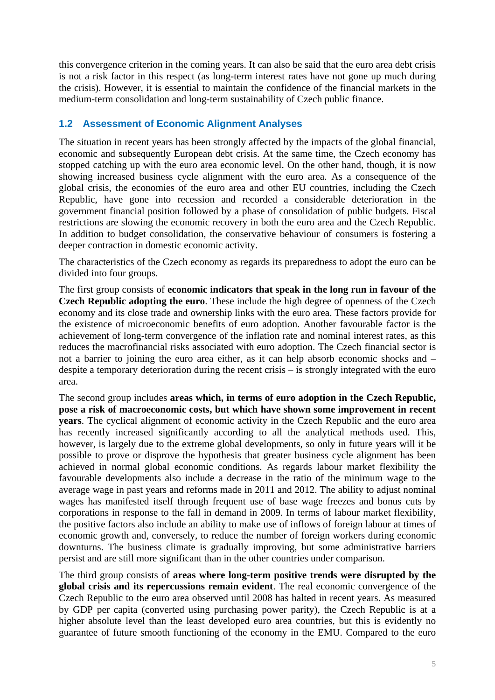this convergence criterion in the coming years. It can also be said that the euro area debt crisis is not a risk factor in this respect (as long-term interest rates have not gone up much during the crisis). However, it is essential to maintain the confidence of the financial markets in the medium-term consolidation and long-term sustainability of Czech public finance.

# <span id="page-4-0"></span>**1.2 Assessment of Economic Alignment Analyses**

The situation in recent years has been strongly affected by the impacts of the global financial, economic and subsequently European debt crisis. At the same time, the Czech economy has stopped catching up with the euro area economic level. On the other hand, though, it is now showing increased business cycle alignment with the euro area. As a consequence of the global crisis, the economies of the euro area and other EU countries, including the Czech Republic, have gone into recession and recorded a considerable deterioration in the government financial position followed by a phase of consolidation of public budgets. Fiscal restrictions are slowing the economic recovery in both the euro area and the Czech Republic. In addition to budget consolidation, the conservative behaviour of consumers is fostering a deeper contraction in domestic economic activity.

The characteristics of the Czech economy as regards its preparedness to adopt the euro can be divided into four groups.

The first group consists of **economic indicators that speak in the long run in favour of the Czech Republic adopting the euro**. These include the high degree of openness of the Czech economy and its close trade and ownership links with the euro area. These factors provide for the existence of microeconomic benefits of euro adoption. Another favourable factor is the achievement of long-term convergence of the inflation rate and nominal interest rates, as this reduces the macrofinancial risks associated with euro adoption. The Czech financial sector is not a barrier to joining the euro area either, as it can help absorb economic shocks and – despite a temporary deterioration during the recent crisis – is strongly integrated with the euro area.

The second group includes **areas which, in terms of euro adoption in the Czech Republic, pose a risk of macroeconomic costs, but which have shown some improvement in recent years**. The cyclical alignment of economic activity in the Czech Republic and the euro area has recently increased significantly according to all the analytical methods used. This, however, is largely due to the extreme global developments, so only in future years will it be possible to prove or disprove the hypothesis that greater business cycle alignment has been achieved in normal global economic conditions. As regards labour market flexibility the favourable developments also include a decrease in the ratio of the minimum wage to the average wage in past years and reforms made in 2011 and 2012. The ability to adjust nominal wages has manifested itself through frequent use of base wage freezes and bonus cuts by corporations in response to the fall in demand in 2009. In terms of labour market flexibility, the positive factors also include an ability to make use of inflows of foreign labour at times of economic growth and, conversely, to reduce the number of foreign workers during economic downturns. The business climate is gradually improving, but some administrative barriers persist and are still more significant than in the other countries under comparison.

The third group consists of **areas where long-term positive trends were disrupted by the global crisis and its repercussions remain evident**. The real economic convergence of the Czech Republic to the euro area observed until 2008 has halted in recent years. As measured by GDP per capita (converted using purchasing power parity), the Czech Republic is at a higher absolute level than the least developed euro area countries, but this is evidently no guarantee of future smooth functioning of the economy in the EMU. Compared to the euro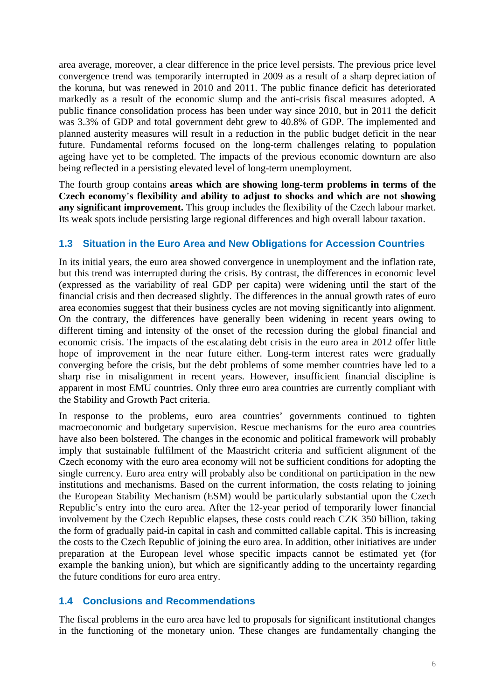area average, moreover, a clear difference in the price level persists. The previous price level convergence trend was temporarily interrupted in 2009 as a result of a sharp depreciation of the koruna, but was renewed in 2010 and 2011. The public finance deficit has deteriorated markedly as a result of the economic slump and the anti-crisis fiscal measures adopted. A public finance consolidation process has been under way since 2010, but in 2011 the deficit was 3.3% of GDP and total government debt grew to 40.8% of GDP. The implemented and planned austerity measures will result in a reduction in the public budget deficit in the near future. Fundamental reforms focused on the long-term challenges relating to population ageing have yet to be completed. The impacts of the previous economic downturn are also being reflected in a persisting elevated level of long-term unemployment.

The fourth group contains **areas which are showing long-term problems in terms of the Czech economy**'**s flexibility and ability to adjust to shocks and which are not showing any significant improvement.** This group includes the flexibility of the Czech labour market. Its weak spots include persisting large regional differences and high overall labour taxation.

# **1.3 Situation in the Euro Area and New Obligations for Accession Countries**

<span id="page-5-0"></span>In its initial years, the euro area showed convergence in unemployment and the inflation rate, but this trend was interrupted during the crisis. By contrast, the differences in economic level (expressed as the variability of real GDP per capita) were widening until the start of the financial crisis and then decreased slightly. The differences in the annual growth rates of euro area economies suggest that their business cycles are not moving significantly into alignment. On the contrary, the differences have generally been widening in recent years owing to different timing and intensity of the onset of the recession during the global financial and economic crisis. The impacts of the escalating debt crisis in the euro area in 2012 offer little hope of improvement in the near future either. Long-term interest rates were gradually converging before the crisis, but the debt problems of some member countries have led to a sharp rise in misalignment in recent years. However, insufficient financial discipline is apparent in most EMU countries. Only three euro area countries are currently compliant with the Stability and Growth Pact criteria.

In response to the problems, euro area countries' governments continued to tighten macroeconomic and budgetary supervision. Rescue mechanisms for the euro area countries have also been bolstered. The changes in the economic and political framework will probably imply that sustainable fulfilment of the Maastricht criteria and sufficient alignment of the Czech economy with the euro area economy will not be sufficient conditions for adopting the single currency. Euro area entry will probably also be conditional on participation in the new institutions and mechanisms. Based on the current information, the costs relating to joining the European Stability Mechanism (ESM) would be particularly substantial upon the Czech Republic's entry into the euro area. After the 12-year period of temporarily lower financial involvement by the Czech Republic elapses, these costs could reach CZK 350 billion, taking the form of gradually paid-in capital in cash and committed callable capital. This is increasing the costs to the Czech Republic of joining the euro area. In addition, other initiatives are under preparation at the European level whose specific impacts cannot be estimated yet (for example the banking union), but which are significantly adding to the uncertainty regarding the future conditions for euro area entry.

# <span id="page-5-1"></span>**1.4 Conclusions and Recommendations**

The fiscal problems in the euro area have led to proposals for significant institutional changes in the functioning of the monetary union. These changes are fundamentally changing the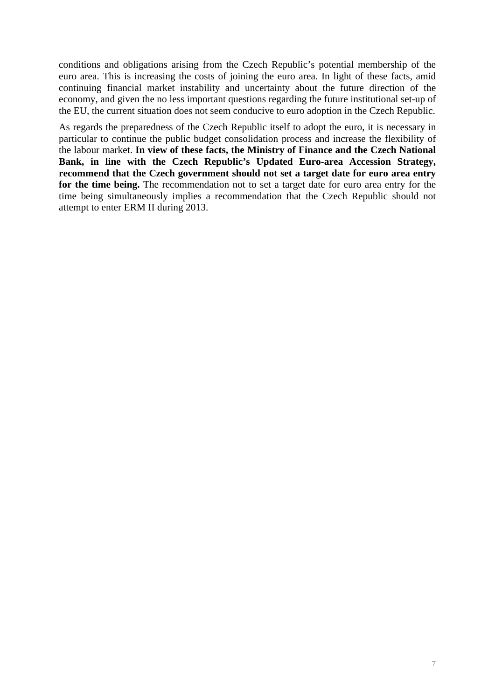conditions and obligations arising from the Czech Republic's potential membership of the euro area. This is increasing the costs of joining the euro area. In light of these facts, amid continuing financial market instability and uncertainty about the future direction of the economy, and given the no less important questions regarding the future institutional set-up of the EU, the current situation does not seem conducive to euro adoption in the Czech Republic.

As regards the preparedness of the Czech Republic itself to adopt the euro, it is necessary in particular to continue the public budget consolidation process and increase the flexibility of the labour market. **In view of these facts, the Ministry of Finance and the Czech National Bank, in line with the Czech Republic's Updated Euro-area Accession Strategy, recommend that the Czech government should not set a target date for euro area entry for the time being.** The recommendation not to set a target date for euro area entry for the time being simultaneously implies a recommendation that the Czech Republic should not attempt to enter ERM II during 2013.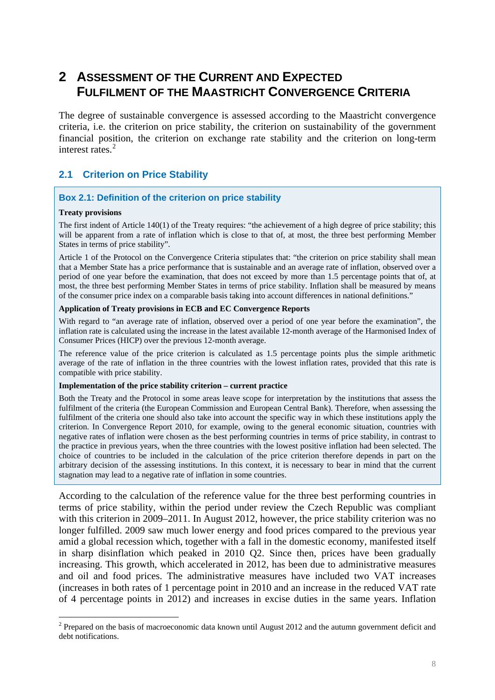# <span id="page-7-0"></span>**2 ASSESSMENT OF THE CURRENT AND EXPECTED FULFILMENT OF THE MAASTRICHT CONVERGENCE CRITERIA**

The degree of sustainable convergence is assessed according to the Maastricht convergence criteria, i.e. the criterion on price stability, the criterion on sustainability of the government financial position, the criterion on exchange rate stability and the criterion on long-term interest rates.<sup>[2](#page-7-3)</sup>

# <span id="page-7-1"></span>**2.1 Criterion on Price Stability**

#### <span id="page-7-2"></span>**Box 2.1: Definition of the criterion on price stability**

#### **Treaty provisions**

1

The first indent of Article 140(1) of the Treaty requires: "the achievement of a high degree of price stability; this will be apparent from a rate of inflation which is close to that of, at most, the three best performing Member States in terms of price stability".

Article 1 of the Protocol on the Convergence Criteria stipulates that: "the criterion on price stability shall mean that a Member State has a price performance that is sustainable and an average rate of inflation, observed over a period of one year before the examination, that does not exceed by more than 1.5 percentage points that of, at most, the three best performing Member States in terms of price stability. Inflation shall be measured by means of the consumer price index on a comparable basis taking into account differences in national definitions."

#### **Application of Treaty provisions in ECB and EC Convergence Reports**

With regard to "an average rate of inflation, observed over a period of one year before the examination", the inflation rate is calculated using the increase in the latest available 12-month average of the Harmonised Index of Consumer Prices (HICP) over the previous 12-month average.

The reference value of the price criterion is calculated as 1.5 percentage points plus the simple arithmetic average of the rate of inflation in the three countries with the lowest inflation rates, provided that this rate is compatible with price stability.

#### **Implementation of the price stability criterion – current practice**

Both the Treaty and the Protocol in some areas leave scope for interpretation by the institutions that assess the fulfilment of the criteria (the European Commission and European Central Bank). Therefore, when assessing the fulfilment of the criteria one should also take into account the specific way in which these institutions apply the criterion. In Convergence Report 2010, for example, owing to the general economic situation, countries with negative rates of inflation were chosen as the best performing countries in terms of price stability, in contrast to the practice in previous years, when the three countries with the lowest positive inflation had been selected. The choice of countries to be included in the calculation of the price criterion therefore depends in part on the arbitrary decision of the assessing institutions. In this context, it is necessary to bear in mind that the current stagnation may lead to a negative rate of inflation in some countries.

According to the calculation of the reference value for the three best performing countries in terms of price stability, within the period under review the Czech Republic was compliant with this criterion in 2009–2011. In August 2012, however, the price stability criterion was no longer fulfilled. 2009 saw much lower energy and food prices compared to the previous year amid a global recession which, together with a fall in the domestic economy, manifested itself in sharp disinflation which peaked in 2010 Q2. Since then, prices have been gradually increasing. This growth, which accelerated in 2012, has been due to administrative measures and oil and food prices. The administrative measures have included two VAT increases (increases in both rates of 1 percentage point in 2010 and an increase in the reduced VAT rate of 4 percentage points in 2012) and increases in excise duties in the same years. Inflation

<span id="page-7-3"></span> $2$  Prepared on the basis of macroeconomic data known until August 2012 and the autumn government deficit and debt notifications.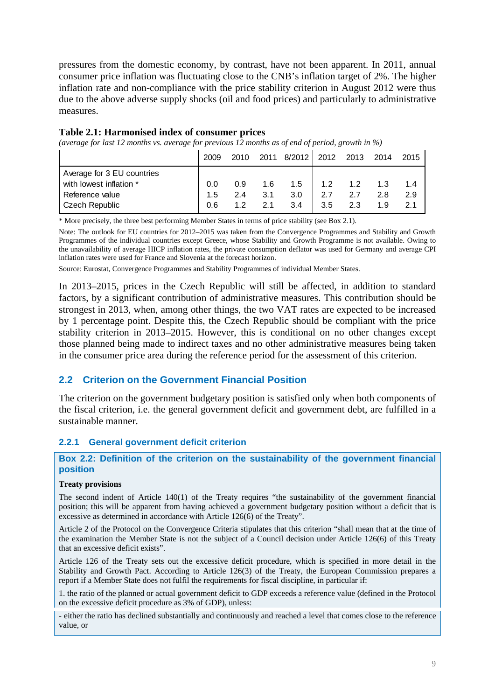pressures from the domestic economy, by contrast, have not been apparent. In 2011, annual consumer price inflation was fluctuating close to the CNB's inflation target of 2%. The higher inflation rate and non-compliance with the price stability criterion in August 2012 were thus due to the above adverse supply shocks (oil and food prices) and particularly to administrative measures.

|  |  |  | Table 2.1: Harmonised index of consumer prices |  |
|--|--|--|------------------------------------------------|--|
|  |  |  |                                                |  |

<span id="page-8-3"></span>*(average for last 12 months vs. average for previous 12 months as of end of period, growth in %)* 

|                            | 2009 | 2010 | 2011 | 8/2012 | 2012 | 2013        | 2014 | 2015 |
|----------------------------|------|------|------|--------|------|-------------|------|------|
| Average for 3 EU countries |      |      |      |        |      |             |      |      |
| with lowest inflation *    | 0.0  | 0.9  | 1.6  | 1.5    |      | $1.2 \t1.2$ | 1.3  | 1.4  |
| Reference value            | 1.5  | 2.4  | 3.1  | 3.0    | 2.7  | 2.7         | 2.8  | 2.9  |
| <b>Czech Republic</b>      | 0.6  | 12   | 21   | 3.4    | 3.5  | 2.3         | 19   | 2.1  |

\* More precisely, the three best performing Member States in terms of price stability (see Box 2.1).

Note: The outlook for EU countries for 2012–2015 was taken from the Convergence Programmes and Stability and Growth Programmes of the individual countries except Greece, whose Stability and Growth Programme is not available. Owing to the unavailability of average HICP inflation rates, the private consumption deflator was used for Germany and average CPI inflation rates were used for France and Slovenia at the forecast horizon.

Source: Eurostat, Convergence Programmes and Stability Programmes of individual Member States.

In 2013–2015, prices in the Czech Republic will still be affected, in addition to standard factors, by a significant contribution of administrative measures. This contribution should be strongest in 2013, when, among other things, the two VAT rates are expected to be increased by 1 percentage point. Despite this, the Czech Republic should be compliant with the price stability criterion in 2013–2015. However, this is conditional on no other changes except those planned being made to indirect taxes and no other administrative measures being taken in the consumer price area during the reference period for the assessment of this criterion.

### <span id="page-8-0"></span>**2.2 Criterion on the Government Financial Position**

The criterion on the government budgetary position is satisfied only when both components of the fiscal criterion, i.e. the general government deficit and government debt, are fulfilled in a sustainable manner.

#### <span id="page-8-1"></span>**2.2.1 General government deficit criterion**

#### <span id="page-8-2"></span>**Box 2.2: Definition of the criterion on the sustainability of the government financial position**

#### **Treaty provisions**

The second indent of Article 140(1) of the Treaty requires "the sustainability of the government financial position; this will be apparent from having achieved a government budgetary position without a deficit that is excessive as determined in accordance with Article 126(6) of the Treaty".

Article 2 of the Protocol on the Convergence Criteria stipulates that this criterion "shall mean that at the time of the examination the Member State is not the subject of a Council decision under Article 126(6) of this Treaty that an excessive deficit exists".

Article 126 of the Treaty sets out the excessive deficit procedure, which is specified in more detail in the Stability and Growth Pact. According to Article 126(3) of the Treaty, the European Commission prepares a report if a Member State does not fulfil the requirements for fiscal discipline, in particular if:

1. the ratio of the planned or actual government deficit to GDP exceeds a reference value (defined in the Protocol on the excessive deficit procedure as 3% of GDP), unless:

- either the ratio has declined substantially and continuously and reached a level that comes close to the reference value, or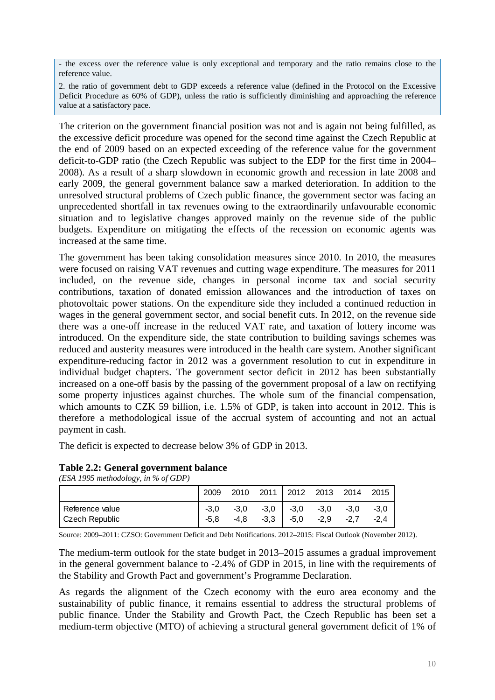- the excess over the reference value is only exceptional and temporary and the ratio remains close to the reference value.

2. the ratio of government debt to GDP exceeds a reference value (defined in the Protocol on the Excessive Deficit Procedure as 60% of GDP), unless the ratio is sufficiently diminishing and approaching the reference value at a satisfactory pace.

The criterion on the government financial position was not and is again not being fulfilled, as the excessive deficit procedure was opened for the second time against the Czech Republic at the end of 2009 based on an expected exceeding of the reference value for the government deficit-to-GDP ratio (the Czech Republic was subject to the EDP for the first time in 2004– 2008). As a result of a sharp slowdown in economic growth and recession in late 2008 and early 2009, the general government balance saw a marked deterioration. In addition to the unresolved structural problems of Czech public finance, the government sector was facing an unprecedented shortfall in tax revenues owing to the extraordinarily unfavourable economic situation and to legislative changes approved mainly on the revenue side of the public budgets. Expenditure on mitigating the effects of the recession on economic agents was increased at the same time.

The government has been taking consolidation measures since 2010. In 2010, the measures were focused on raising VAT revenues and cutting wage expenditure. The measures for 2011 included, on the revenue side, changes in personal income tax and social security contributions, taxation of donated emission allowances and the introduction of taxes on photovoltaic power stations. On the expenditure side they included a continued reduction in wages in the general government sector, and social benefit cuts. In 2012, on the revenue side there was a one-off increase in the reduced VAT rate, and taxation of lottery income was introduced. On the expenditure side, the state contribution to building savings schemes was reduced and austerity measures were introduced in the health care system. Another significant expenditure-reducing factor in 2012 was a government resolution to cut in expenditure in individual budget chapters. The government sector deficit in 2012 has been substantially increased on a one-off basis by the passing of the government proposal of a law on rectifying some property injustices against churches. The whole sum of the financial compensation, which amounts to CZK 59 billion, i.e. 1.5% of GDP, is taken into account in 2012. This is therefore a methodological issue of the accrual system of accounting and not an actual payment in cash.

The deficit is expected to decrease below 3% of GDP in 2013.

#### **Table 2.2: General government balance**

<span id="page-9-0"></span>*(ESA 1995 methodology, in % of GDP)* 

|                                     | 2009           | 2010 |                 | 2011   2012 2013 2014 2015         |      |        |                  |
|-------------------------------------|----------------|------|-----------------|------------------------------------|------|--------|------------------|
| l Reference value<br>Czech Republic | $-3.0$<br>-5.8 | -4.8 | $-3,3$   $-5,0$ | $-3,0$ $-3,0$ $-3,0$ $-3,0$ $-3,0$ | -2.9 | $-2.7$ | $-3.0$<br>$-2.4$ |

Source: 2009–2011: CZSO: Government Deficit and Debt Notifications. 2012–2015: Fiscal Outlook (November 2012).

The medium-term outlook for the state budget in 2013–2015 assumes a gradual improvement in the general government balance to -2.4% of GDP in 2015, in line with the requirements of the Stability and Growth Pact and government's Programme Declaration.

As regards the alignment of the Czech economy with the euro area economy and the sustainability of public finance, it remains essential to address the structural problems of public finance. Under the Stability and Growth Pact, the Czech Republic has been set a medium-term objective (MTO) of achieving a structural general government deficit of 1% of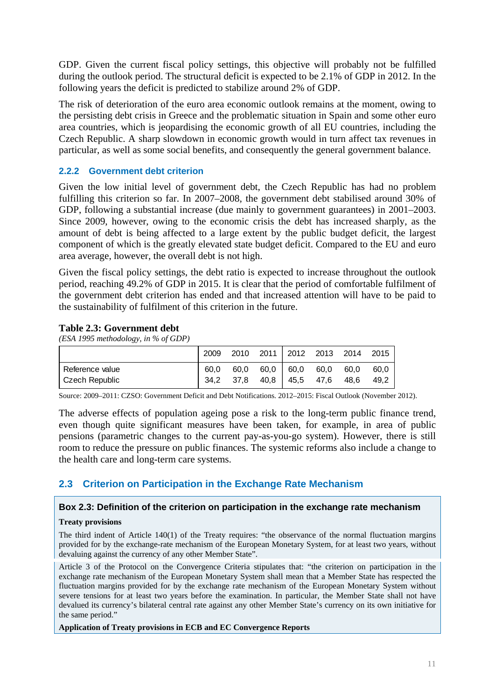GDP. Given the current fiscal policy settings, this objective will probably not be fulfilled during the outlook period. The structural deficit is expected to be 2.1% of GDP in 2012. In the following years the deficit is predicted to stabilize around 2% of GDP.

The risk of deterioration of the euro area economic outlook remains at the moment, owing to the persisting debt crisis in Greece and the problematic situation in Spain and some other euro area countries, which is jeopardising the economic growth of all EU countries, including the Czech Republic. A sharp slowdown in economic growth would in turn affect tax revenues in particular, as well as some social benefits, and consequently the general government balance.

### **2.2.2 Government debt criterion**

<span id="page-10-0"></span>Given the low initial level of government debt, the Czech Republic has had no problem fulfilling this criterion so far. In 2007–2008, the government debt stabilised around 30% of GDP, following a substantial increase (due mainly to government guarantees) in 2001–2003. Since 2009, however, owing to the economic crisis the debt has increased sharply, as the amount of debt is being affected to a large extent by the public budget deficit, the largest component of which is the greatly elevated state budget deficit. Compared to the EU and euro area average, however, the overall debt is not high.

Given the fiscal policy settings, the debt ratio is expected to increase throughout the outlook period, reaching 49.2% of GDP in 2015. It is clear that the period of comfortable fulfilment of the government debt criterion has ended and that increased attention will have to be paid to the sustainability of fulfilment of this criterion in the future.

### <span id="page-10-3"></span>**Table 2.3: Government debt**

*(ESA 1995 methodology, in % of GDP)* 

|                                     | 2009         | 2010         | 2011 2012 2013 2014 2015         |              |              |
|-------------------------------------|--------------|--------------|----------------------------------|--------------|--------------|
| Reference value<br>  Czech Republic | 60.0<br>34.2 | 60.0<br>37.8 | 60,0 60,0 60,0<br>40,8 45,5 47,6 | 60.0<br>48.6 | 60.0<br>49.2 |

Source: 2009–2011: CZSO: Government Deficit and Debt Notifications. 2012–2015: Fiscal Outlook (November 2012).

The adverse effects of population ageing pose a risk to the long-term public finance trend, even though quite significant measures have been taken, for example, in area of public pensions (parametric changes to the current pay-as-you-go system). However, there is still room to reduce the pressure on public finances. The systemic reforms also include a change to the health care and long-term care systems.

# <span id="page-10-1"></span>**2.3 Criterion on Participation in the Exchange Rate Mechanism**

#### <span id="page-10-2"></span>**Box 2.3: Definition of the criterion on participation in the exchange rate mechanism**

#### **Treaty provisions**

The third indent of Article 140(1) of the Treaty requires: "the observance of the normal fluctuation margins provided for by the exchange-rate mechanism of the European Monetary System, for at least two years, without devaluing against the currency of any other Member State".

Article 3 of the Protocol on the Convergence Criteria stipulates that: "the criterion on participation in the exchange rate mechanism of the European Monetary System shall mean that a Member State has respected the fluctuation margins provided for by the exchange rate mechanism of the European Monetary System without severe tensions for at least two years before the examination. In particular, the Member State shall not have devalued its currency's bilateral central rate against any other Member State's currency on its own initiative for the same period."

**Application of Treaty provisions in ECB and EC Convergence Reports**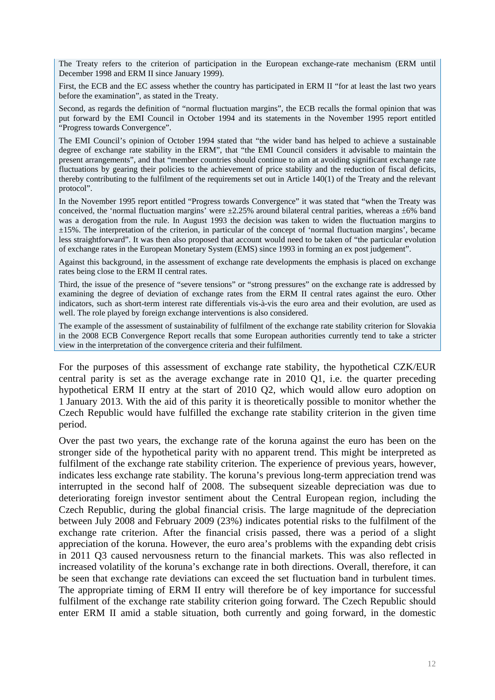The Treaty refers to the criterion of participation in the European exchange-rate mechanism (ERM until December 1998 and ERM II since January 1999).

First, the ECB and the EC assess whether the country has participated in ERM II "for at least the last two years before the examination", as stated in the Treaty.

Second, as regards the definition of "normal fluctuation margins", the ECB recalls the formal opinion that was put forward by the EMI Council in October 1994 and its statements in the November 1995 report entitled "Progress towards Convergence".

The EMI Council's opinion of October 1994 stated that "the wider band has helped to achieve a sustainable degree of exchange rate stability in the ERM", that "the EMI Council considers it advisable to maintain the present arrangements", and that "member countries should continue to aim at avoiding significant exchange rate fluctuations by gearing their policies to the achievement of price stability and the reduction of fiscal deficits, thereby contributing to the fulfilment of the requirements set out in Article 140(1) of the Treaty and the relevant protocol".

In the November 1995 report entitled "Progress towards Convergence" it was stated that "when the Treaty was conceived, the 'normal fluctuation margins' were  $\pm 2.25\%$  around bilateral central parities, whereas a  $\pm 6\%$  band was a derogation from the rule. In August 1993 the decision was taken to widen the fluctuation margins to ±15%. The interpretation of the criterion, in particular of the concept of 'normal fluctuation margins', became less straightforward". It was then also proposed that account would need to be taken of "the particular evolution of exchange rates in the European Monetary System (EMS) since 1993 in forming an ex post judgement".

Against this background, in the assessment of exchange rate developments the emphasis is placed on exchange rates being close to the ERM II central rates.

Third, the issue of the presence of "severe tensions" or "strong pressures" on the exchange rate is addressed by examining the degree of deviation of exchange rates from the ERM II central rates against the euro. Other indicators, such as short-term interest rate differentials vis-à-vis the euro area and their evolution, are used as well. The role played by foreign exchange interventions is also considered.

The example of the assessment of sustainability of fulfilment of the exchange rate stability criterion for Slovakia in the 2008 ECB Convergence Report recalls that some European authorities currently tend to take a stricter view in the interpretation of the convergence criteria and their fulfilment.

For the purposes of this assessment of exchange rate stability, the hypothetical CZK/EUR central parity is set as the average exchange rate in 2010 O1, i.e. the quarter preceding hypothetical ERM II entry at the start of 2010 Q2, which would allow euro adoption on 1 January 2013. With the aid of this parity it is theoretically possible to monitor whether the Czech Republic would have fulfilled the exchange rate stability criterion in the given time period.

Over the past two years, the exchange rate of the koruna against the euro has been on the stronger side of the hypothetical parity with no apparent trend. This might be interpreted as fulfilment of the exchange rate stability criterion. The experience of previous years, however, indicates less exchange rate stability. The koruna's previous long-term appreciation trend was interrupted in the second half of 2008. The subsequent sizeable depreciation was due to deteriorating foreign investor sentiment about the Central European region, including the Czech Republic, during the global financial crisis. The large magnitude of the depreciation between July 2008 and February 2009 (23%) indicates potential risks to the fulfilment of the exchange rate criterion. After the financial crisis passed, there was a period of a slight appreciation of the koruna. However, the euro area's problems with the expanding debt crisis in 2011 Q3 caused nervousness return to the financial markets. This was also reflected in increased volatility of the koruna's exchange rate in both directions. Overall, therefore, it can be seen that exchange rate deviations can exceed the set fluctuation band in turbulent times. The appropriate timing of ERM II entry will therefore be of key importance for successful fulfilment of the exchange rate stability criterion going forward. The Czech Republic should enter ERM II amid a stable situation, both currently and going forward, in the domestic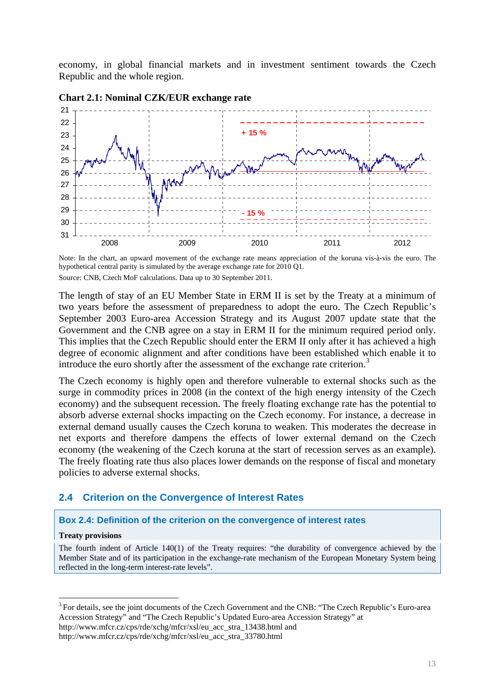economy, in global financial markets and in investment sentiment towards the Czech Republic and the whole region.



#### <span id="page-12-2"></span>**Chart 2.1: Nominal CZK/EUR exchange rate**

Note: In the chart, an upward movement of the exchange rate means appreciation of the koruna vis-à-vis the euro. The hypothetical central parity is simulated by the average exchange rate for 2010 Q1. Source: CNB, Czech MoF calculations. Data up to 30 September 2011.

The length of stay of an EU Member State in ERM II is set by the Treaty at a minimum of two years before the assessment of preparedness to adopt the euro. The Czech Republic's September 2003 Euro-area Accession Strategy and its August 2007 update state that the Government and the CNB agree on a stay in ERM II for the minimum required period only. This implies that the Czech Republic should enter the ERM II only after it has achieved a high degree of economic alignment and after conditions have been established which enable it to introduce the euro shortly after the assessment of the exchange rate criterion.<sup>[3](#page-12-3)</sup>

The Czech economy is highly open and therefore vulnerable to external shocks such as the surge in commodity prices in 2008 (in the context of the high energy intensity of the Czech economy) and the subsequent recession. The freely floating exchange rate has the potential to absorb adverse external shocks impacting on the Czech economy. For instance, a decrease in external demand usually causes the Czech koruna to weaken. This moderates the decrease in net exports and therefore dampens the effects of lower external demand on the Czech economy (the weakening of the Czech koruna at the start of recession serves as an example). The freely floating rate thus also places lower demands on the response of fiscal and monetary policies to adverse external shocks.

#### <span id="page-12-0"></span>**2.4 Criterion on the Convergence of Interest Rates**

#### <span id="page-12-1"></span>**Box 2.4: Definition of the criterion on the convergence of interest rates**

#### **Treaty provisions**

1

The fourth indent of Article 140(1) of the Treaty requires: "the durability of convergence achieved by the Member State and of its participation in the exchange-rate mechanism of the European Monetary System being reflected in the long-term interest-rate levels".

http://www.mfcr.cz/cps/rde/xchg/mfcr/xsl/eu\_acc\_stra\_13438.html and

http://www.mfcr.cz/cps/rde/xchg/mfcr/xsl/eu\_acc\_stra\_33780.html

<span id="page-12-3"></span><sup>&</sup>lt;sup>3</sup> For details, see the joint documents of the Czech Government and the CNB: "The Czech Republic's Euro-area Accession Strategy" and "The Czech Republic's Updated Euro-area Accession Strategy" at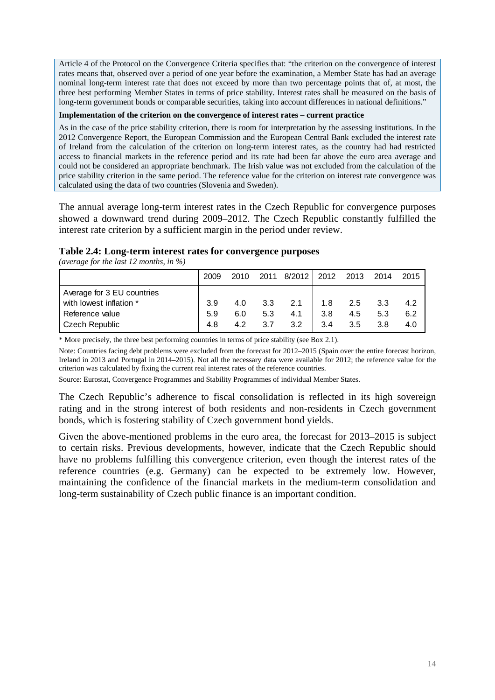Article 4 of the Protocol on the Convergence Criteria specifies that: "the criterion on the convergence of interest rates means that, observed over a period of one year before the examination, a Member State has had an average nominal long-term interest rate that does not exceed by more than two percentage points that of, at most, the three best performing Member States in terms of price stability. Interest rates shall be measured on the basis of long-term government bonds or comparable securities, taking into account differences in national definitions."

#### **Implementation of the criterion on the convergence of interest rates – current practice**

As in the case of the price stability criterion, there is room for interpretation by the assessing institutions. In the 2012 Convergence Report, the European Commission and the European Central Bank excluded the interest rate of Ireland from the calculation of the criterion on long-term interest rates, as the country had had restricted access to financial markets in the reference period and its rate had been far above the euro area average and could not be considered an appropriate benchmark. The Irish value was not excluded from the calculation of the price stability criterion in the same period. The reference value for the criterion on interest rate convergence was calculated using the data of two countries (Slovenia and Sweden).

The annual average long-term interest rates in the Czech Republic for convergence purposes showed a downward trend during 2009–2012. The Czech Republic constantly fulfilled the interest rate criterion by a sufficient margin in the period under review.

#### <span id="page-13-0"></span>**Table 2.4: Long-term interest rates for convergence purposes**

*(average for the last 12 months, in %)* 

|                            | 2009 | 2010 | 2011 | 8/2012 | 2012 | 2013 | 2014 | 2015 |
|----------------------------|------|------|------|--------|------|------|------|------|
| Average for 3 EU countries |      |      |      |        |      |      |      |      |
| with lowest inflation *    | 3.9  | 4.0  | 3.3  | 2.1    | 1.8  | 2.5  | 3.3  | 4.2  |
| Reference value            | 5.9  | 6.0  | 5.3  | 4.1    | 3.8  | 4.5  | 5.3  | 6.2  |
| <b>Czech Republic</b>      | 4.8  | 4.2  | 3.7  | 3.2    | 3.4  | 3.5  | 3.8  | 4.0  |

\* More precisely, the three best performing countries in terms of price stability (see Box 2.1).

Note: Countries facing debt problems were excluded from the forecast for 2012–2015 (Spain over the entire forecast horizon, Ireland in 2013 and Portugal in 2014–2015). Not all the necessary data were available for 2012; the reference value for the criterion was calculated by fixing the current real interest rates of the reference countries.

Source: Eurostat, Convergence Programmes and Stability Programmes of individual Member States.

The Czech Republic's adherence to fiscal consolidation is reflected in its high sovereign rating and in the strong interest of both residents and non-residents in Czech government bonds, which is fostering stability of Czech government bond yields.

Given the above-mentioned problems in the euro area, the forecast for 2013–2015 is subject to certain risks. Previous developments, however, indicate that the Czech Republic should have no problems fulfilling this convergence criterion, even though the interest rates of the reference countries (e.g. Germany) can be expected to be extremely low. However, maintaining the confidence of the financial markets in the medium-term consolidation and long-term sustainability of Czech public finance is an important condition.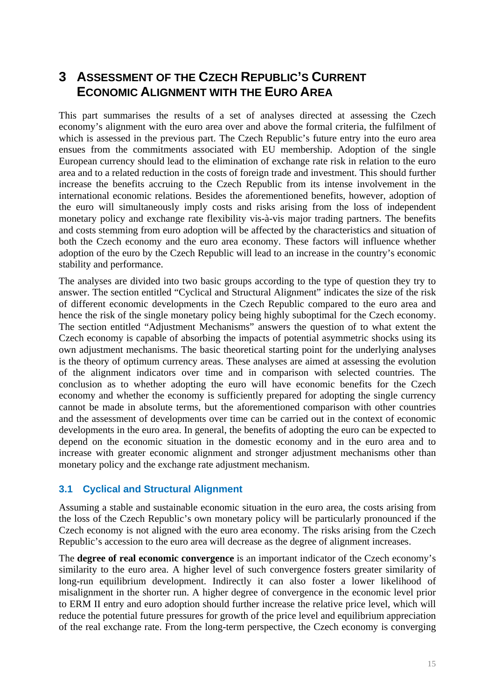# <span id="page-14-0"></span>**3 ASSESSMENT OF THE CZECH REPUBLIC'S CURRENT ECONOMIC ALIGNMENT WITH THE EURO AREA**

This part summarises the results of a set of analyses directed at assessing the Czech economy's alignment with the euro area over and above the formal criteria, the fulfilment of which is assessed in the previous part. The Czech Republic's future entry into the euro area ensues from the commitments associated with EU membership. Adoption of the single European currency should lead to the elimination of exchange rate risk in relation to the euro area and to a related reduction in the costs of foreign trade and investment. This should further increase the benefits accruing to the Czech Republic from its intense involvement in the international economic relations. Besides the aforementioned benefits, however, adoption of the euro will simultaneously imply costs and risks arising from the loss of independent monetary policy and exchange rate flexibility vis-à-vis major trading partners. The benefits and costs stemming from euro adoption will be affected by the characteristics and situation of both the Czech economy and the euro area economy. These factors will influence whether adoption of the euro by the Czech Republic will lead to an increase in the country's economic stability and performance.

The analyses are divided into two basic groups according to the type of question they try to answer. The section entitled "Cyclical and Structural Alignment" indicates the size of the risk of different economic developments in the Czech Republic compared to the euro area and hence the risk of the single monetary policy being highly suboptimal for the Czech economy. The section entitled "Adjustment Mechanisms" answers the question of to what extent the Czech economy is capable of absorbing the impacts of potential asymmetric shocks using its own adjustment mechanisms. The basic theoretical starting point for the underlying analyses is the theory of optimum currency areas. These analyses are aimed at assessing the evolution of the alignment indicators over time and in comparison with selected countries. The conclusion as to whether adopting the euro will have economic benefits for the Czech economy and whether the economy is sufficiently prepared for adopting the single currency cannot be made in absolute terms, but the aforementioned comparison with other countries and the assessment of developments over time can be carried out in the context of economic developments in the euro area. In general, the benefits of adopting the euro can be expected to depend on the economic situation in the domestic economy and in the euro area and to increase with greater economic alignment and stronger adjustment mechanisms other than monetary policy and the exchange rate adjustment mechanism.

# <span id="page-14-1"></span>**3.1 Cyclical and Structural Alignment**

Assuming a stable and sustainable economic situation in the euro area, the costs arising from the loss of the Czech Republic's own monetary policy will be particularly pronounced if the Czech economy is not aligned with the euro area economy. The risks arising from the Czech Republic's accession to the euro area will decrease as the degree of alignment increases.

The **degree of real economic convergence** is an important indicator of the Czech economy's similarity to the euro area. A higher level of such convergence fosters greater similarity of long-run equilibrium development. Indirectly it can also foster a lower likelihood of misalignment in the shorter run. A higher degree of convergence in the economic level prior to ERM II entry and euro adoption should further increase the relative price level, which will reduce the potential future pressures for growth of the price level and equilibrium appreciation of the real exchange rate. From the long-term perspective, the Czech economy is converging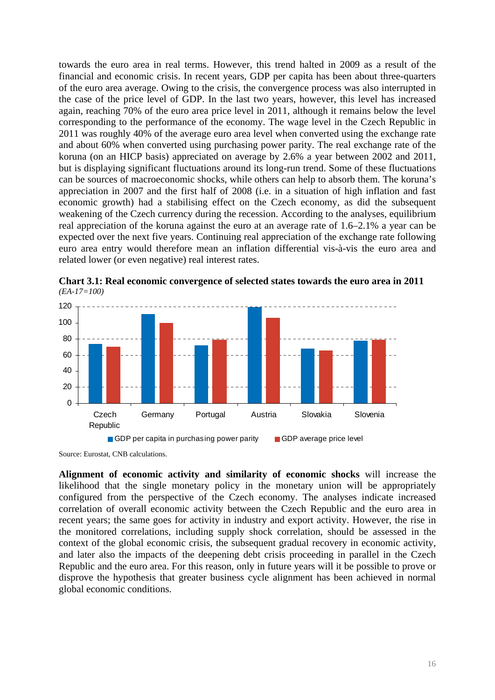towards the euro area in real terms. However, this trend halted in 2009 as a result of the financial and economic crisis. In recent years, GDP per capita has been about three-quarters of the euro area average. Owing to the crisis, the convergence process was also interrupted in the case of the price level of GDP. In the last two years, however, this level has increased again, reaching 70% of the euro area price level in 2011, although it remains below the level corresponding to the performance of the economy. The wage level in the Czech Republic in 2011 was roughly 40% of the average euro area level when converted using the exchange rate and about 60% when converted using purchasing power parity. The real exchange rate of the koruna (on an HICP basis) appreciated on average by 2.6% a year between 2002 and 2011, but is displaying significant fluctuations around its long-run trend. Some of these fluctuations can be sources of macroeconomic shocks, while others can help to absorb them. The koruna's appreciation in 2007 and the first half of 2008 (i.e. in a situation of high inflation and fast economic growth) had a stabilising effect on the Czech economy, as did the subsequent weakening of the Czech currency during the recession. According to the analyses, equilibrium real appreciation of the koruna against the euro at an average rate of 1.6–2.1% a year can be expected over the next five years. Continuing real appreciation of the exchange rate following euro area entry would therefore mean an inflation differential vis-à-vis the euro area and related lower (or even negative) real interest rates.



<span id="page-15-0"></span>**Chart 3.1: Real economic convergence of selected states towards the euro area in 2011**  *(EA-17=100)* 

Source: Eurostat, CNB calculations.

**Alignment of economic activity and similarity of economic shocks** will increase the likelihood that the single monetary policy in the monetary union will be appropriately configured from the perspective of the Czech economy. The analyses indicate increased correlation of overall economic activity between the Czech Republic and the euro area in recent years; the same goes for activity in industry and export activity. However, the rise in the monitored correlations, including supply shock correlation, should be assessed in the context of the global economic crisis, the subsequent gradual recovery in economic activity, and later also the impacts of the deepening debt crisis proceeding in parallel in the Czech Republic and the euro area. For this reason, only in future years will it be possible to prove or disprove the hypothesis that greater business cycle alignment has been achieved in normal global economic conditions.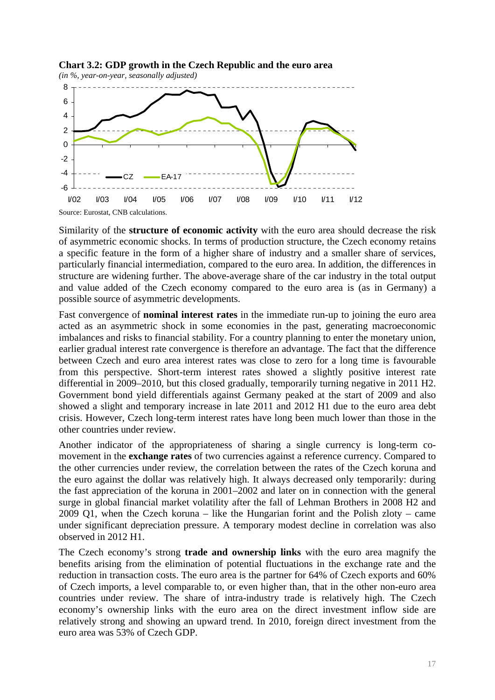<span id="page-16-0"></span>



Similarity of the **structure of economic activity** with the euro area should decrease the risk of asymmetric economic shocks. In terms of production structure, the Czech economy retains a specific feature in the form of a higher share of industry and a smaller share of services, particularly financial intermediation, compared to the euro area. In addition, the differences in structure are widening further. The above-average share of the car industry in the total output and value added of the Czech economy compared to the euro area is (as in Germany) a possible source of asymmetric developments.

Fast convergence of **nominal interest rates** in the immediate run-up to joining the euro area acted as an asymmetric shock in some economies in the past, generating macroeconomic imbalances and risks to financial stability. For a country planning to enter the monetary union, earlier gradual interest rate convergence is therefore an advantage. The fact that the difference between Czech and euro area interest rates was close to zero for a long time is favourable from this perspective. Short-term interest rates showed a slightly positive interest rate differential in 2009–2010, but this closed gradually, temporarily turning negative in 2011 H2. Government bond yield differentials against Germany peaked at the start of 2009 and also showed a slight and temporary increase in late 2011 and 2012 H1 due to the euro area debt crisis. However, Czech long-term interest rates have long been much lower than those in the other countries under review.

Another indicator of the appropriateness of sharing a single currency is long-term comovement in the **exchange rates** of two currencies against a reference currency. Compared to the other currencies under review, the correlation between the rates of the Czech koruna and the euro against the dollar was relatively high. It always decreased only temporarily: during the fast appreciation of the koruna in 2001–2002 and later on in connection with the general surge in global financial market volatility after the fall of Lehman Brothers in 2008 H2 and 2009 Q1, when the Czech koruna – like the Hungarian forint and the Polish zloty – came under significant depreciation pressure. A temporary modest decline in correlation was also observed in 2012 H1.

The Czech economy's strong **trade and ownership links** with the euro area magnify the benefits arising from the elimination of potential fluctuations in the exchange rate and the reduction in transaction costs. The euro area is the partner for 64% of Czech exports and 60% of Czech imports, a level comparable to, or even higher than, that in the other non-euro area countries under review. The share of intra-industry trade is relatively high. The Czech economy's ownership links with the euro area on the direct investment inflow side are relatively strong and showing an upward trend. In 2010, foreign direct investment from the euro area was 53% of Czech GDP.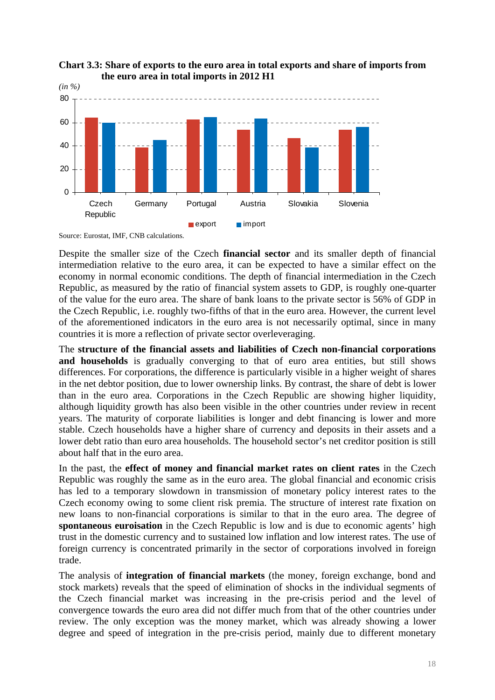

<span id="page-17-0"></span>

Source: Eurostat, IMF, CNB calculations.

Despite the smaller size of the Czech **financial sector** and its smaller depth of financial intermediation relative to the euro area, it can be expected to have a similar effect on the economy in normal economic conditions. The depth of financial intermediation in the Czech Republic, as measured by the ratio of financial system assets to GDP, is roughly one-quarter of the value for the euro area. The share of bank loans to the private sector is 56% of GDP in the Czech Republic, i.e. roughly two-fifths of that in the euro area. However, the current level of the aforementioned indicators in the euro area is not necessarily optimal, since in many countries it is more a reflection of private sector overleveraging.

The **structure of the financial assets and liabilities of Czech non-financial corporations**  and households is gradually converging to that of euro area entities, but still shows differences. For corporations, the difference is particularly visible in a higher weight of shares in the net debtor position, due to lower ownership links. By contrast, the share of debt is lower than in the euro area. Corporations in the Czech Republic are showing higher liquidity, although liquidity growth has also been visible in the other countries under review in recent years. The maturity of corporate liabilities is longer and debt financing is lower and more stable. Czech households have a higher share of currency and deposits in their assets and a lower debt ratio than euro area households. The household sector's net creditor position is still about half that in the euro area.

In the past, the **effect of money and financial market rates on client rates** in the Czech Republic was roughly the same as in the euro area. The global financial and economic crisis has led to a temporary slowdown in transmission of monetary policy interest rates to the Czech economy owing to some client risk premia. The structure of interest rate fixation on new loans to non-financial corporations is similar to that in the euro area. The degree of **spontaneous euroisation** in the Czech Republic is low and is due to economic agents' high trust in the domestic currency and to sustained low inflation and low interest rates. The use of foreign currency is concentrated primarily in the sector of corporations involved in foreign trade.

The analysis of **integration of financial markets** (the money, foreign exchange, bond and stock markets) reveals that the speed of elimination of shocks in the individual segments of the Czech financial market was increasing in the pre-crisis period and the level of convergence towards the euro area did not differ much from that of the other countries under review. The only exception was the money market, which was already showing a lower degree and speed of integration in the pre-crisis period, mainly due to different monetary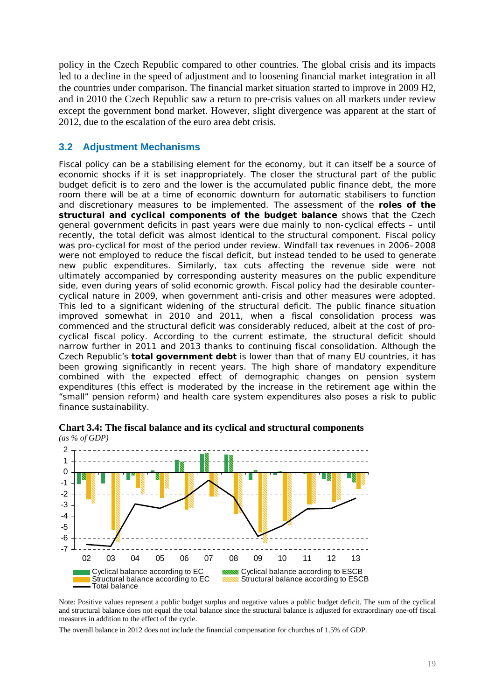policy in the Czech Republic compared to other countries. The global crisis and its impacts led to a decline in the speed of adjustment and to loosening financial market integration in all the countries under comparison. The financial market situation started to improve in 2009 H2, and in 2010 the Czech Republic saw a return to pre-crisis values on all markets under review except the government bond market. However, slight divergence was apparent at the start of 2012, due to the escalation of the euro area debt crisis.

## <span id="page-18-0"></span>**3.2 Adjustment Mechanisms**

Fiscal policy can be a stabilising element for the economy, but it can itself be a source of economic shocks if it is set inappropriately. The closer the structural part of the public budget deficit is to zero and the lower is the accumulated public finance debt, the more room there will be at a time of economic downturn for automatic stabilisers to function and discretionary measures to be implemented. The assessment of the **roles of the structural and cyclical components of the budget balance** shows that the Czech general government deficits in past years were due mainly to non-cyclical effects – until recently, the total deficit was almost identical to the structural component. Fiscal policy was pro-cyclical for most of the period under review. Windfall tax revenues in 2006–2008 were not employed to reduce the fiscal deficit, but instead tended to be used to generate new public expenditures. Similarly, tax cuts affecting the revenue side were not ultimately accompanied by corresponding austerity measures on the public expenditure side, even during years of solid economic growth. Fiscal policy had the desirable countercyclical nature in 2009, when government anti-crisis and other measures were adopted. This led to a significant widening of the structural deficit. The public finance situation improved somewhat in 2010 and 2011, when a fiscal consolidation process was commenced and the structural deficit was considerably reduced, albeit at the cost of procyclical fiscal policy. According to the current estimate, the structural deficit should narrow further in 2011 and 2013 thanks to continuing fiscal consolidation. Although the Czech Republic's **total government debt** is lower than that of many EU countries, it has been growing significantly in recent years. The high share of mandatory expenditure combined with the expected effect of demographic changes on pension system expenditures (this effect is moderated by the increase in the retirement age within the "small" pension reform) and health care system expenditures also poses a risk to public finance sustainability.



<span id="page-18-1"></span>**Chart 3.4: The fiscal balance and its cyclical and structural components**  *(as % of GDP)* 

Note: Positive values represent a public budget surplus and negative values a public budget deficit. The sum of the cyclical and structural balance does not equal the total balance since the structural balance is adjusted for extraordinary one-off fiscal measures in addition to the effect of the cycle.

The overall balance in 2012 does not include the financial compensation for churches of 1.5% of GDP.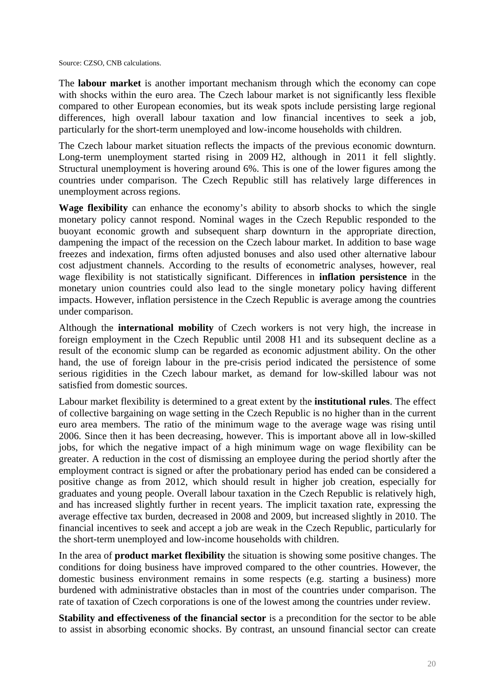Source: CZSO, CNB calculations.

The **labour market** is another important mechanism through which the economy can cope with shocks within the euro area. The Czech labour market is not significantly less flexible compared to other European economies, but its weak spots include persisting large regional differences, high overall labour taxation and low financial incentives to seek a job, particularly for the short-term unemployed and low-income households with children.

The Czech labour market situation reflects the impacts of the previous economic downturn. Long-term unemployment started rising in 2009 H2, although in 2011 it fell slightly. Structural unemployment is hovering around 6%. This is one of the lower figures among the countries under comparison. The Czech Republic still has relatively large differences in unemployment across regions.

**Wage flexibility** can enhance the economy's ability to absorb shocks to which the single monetary policy cannot respond. Nominal wages in the Czech Republic responded to the buoyant economic growth and subsequent sharp downturn in the appropriate direction, dampening the impact of the recession on the Czech labour market. In addition to base wage freezes and indexation, firms often adjusted bonuses and also used other alternative labour cost adjustment channels. According to the results of econometric analyses, however, real wage flexibility is not statistically significant. Differences in **inflation persistence** in the monetary union countries could also lead to the single monetary policy having different impacts. However, inflation persistence in the Czech Republic is average among the countries under comparison.

Although the **international mobility** of Czech workers is not very high, the increase in foreign employment in the Czech Republic until 2008 H1 and its subsequent decline as a result of the economic slump can be regarded as economic adjustment ability. On the other hand, the use of foreign labour in the pre-crisis period indicated the persistence of some serious rigidities in the Czech labour market, as demand for low-skilled labour was not satisfied from domestic sources.

Labour market flexibility is determined to a great extent by the **institutional rules**. The effect of collective bargaining on wage setting in the Czech Republic is no higher than in the current euro area members. The ratio of the minimum wage to the average wage was rising until 2006. Since then it has been decreasing, however. This is important above all in low-skilled jobs, for which the negative impact of a high minimum wage on wage flexibility can be greater. A reduction in the cost of dismissing an employee during the period shortly after the employment contract is signed or after the probationary period has ended can be considered a positive change as from 2012, which should result in higher job creation, especially for graduates and young people. Overall labour taxation in the Czech Republic is relatively high, and has increased slightly further in recent years. The implicit taxation rate, expressing the average effective tax burden, decreased in 2008 and 2009, but increased slightly in 2010. The financial incentives to seek and accept a job are weak in the Czech Republic, particularly for the short-term unemployed and low-income households with children.

In the area of **product market flexibility** the situation is showing some positive changes. The conditions for doing business have improved compared to the other countries. However, the domestic business environment remains in some respects (e.g. starting a business) more burdened with administrative obstacles than in most of the countries under comparison. The rate of taxation of Czech corporations is one of the lowest among the countries under review.

**Stability and effectiveness of the financial sector** is a precondition for the sector to be able to assist in absorbing economic shocks. By contrast, an unsound financial sector can create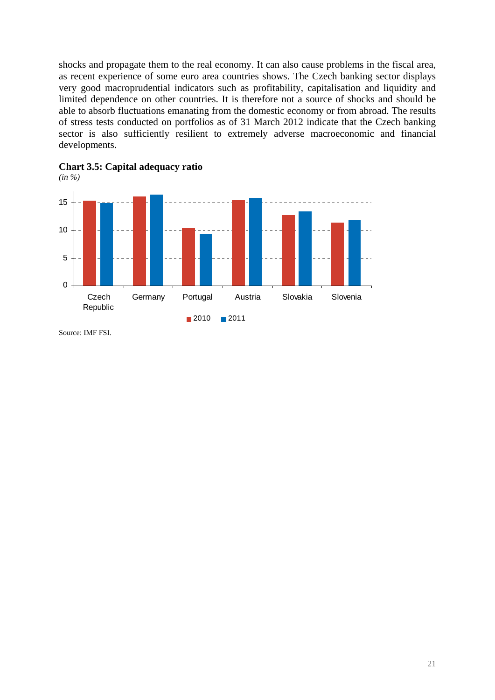shocks and propagate them to the real economy. It can also cause problems in the fiscal area, as recent experience of some euro area countries shows. The Czech banking sector displays very good macroprudential indicators such as profitability, capitalisation and liquidity and limited dependence on other countries. It is therefore not a source of shocks and should be able to absorb fluctuations emanating from the domestic economy or from abroad. The results of stress tests conducted on portfolios as of 31 March 2012 indicate that the Czech banking sector is also sufficiently resilient to extremely adverse macroeconomic and financial developments.



<span id="page-20-0"></span>

Source: IMF FSI.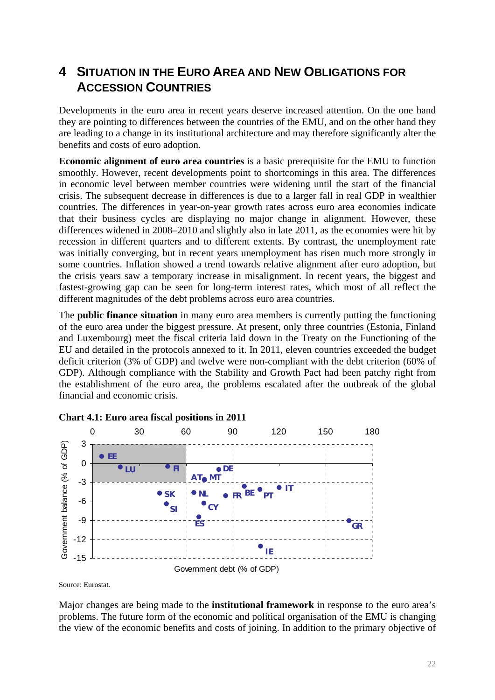# <span id="page-21-0"></span>**4 SITUATION IN THE EURO AREA AND NEW OBLIGATIONS FOR ACCESSION COUNTRIES**

Developments in the euro area in recent years deserve increased attention. On the one hand they are pointing to differences between the countries of the EMU, and on the other hand they are leading to a change in its institutional architecture and may therefore significantly alter the benefits and costs of euro adoption.

**Economic alignment of euro area countries** is a basic prerequisite for the EMU to function smoothly. However, recent developments point to shortcomings in this area. The differences in economic level between member countries were widening until the start of the financial crisis. The subsequent decrease in differences is due to a larger fall in real GDP in wealthier countries. The differences in year-on-year growth rates across euro area economies indicate that their business cycles are displaying no major change in alignment. However, these differences widened in 2008–2010 and slightly also in late 2011, as the economies were hit by recession in different quarters and to different extents. By contrast, the unemployment rate was initially converging, but in recent years unemployment has risen much more strongly in some countries. Inflation showed a trend towards relative alignment after euro adoption, but the crisis years saw a temporary increase in misalignment. In recent years, the biggest and fastest-growing gap can be seen for long-term interest rates, which most of all reflect the different magnitudes of the debt problems across euro area countries.

The **public finance situation** in many euro area members is currently putting the functioning of the euro area under the biggest pressure. At present, only three countries (Estonia, Finland and Luxembourg) meet the fiscal criteria laid down in the Treaty on the Functioning of the EU and detailed in the protocols annexed to it. In 2011, eleven countries exceeded the budget deficit criterion (3% of GDP) and twelve were non-compliant with the debt criterion (60% of GDP). Although compliance with the Stability and Growth Pact had been patchy right from the establishment of the euro area, the problems escalated after the outbreak of the global financial and economic crisis.





Source: Eurostat.

Major changes are being made to the **institutional framework** in response to the euro area's problems. The future form of the economic and political organisation of the EMU is changing the view of the economic benefits and costs of joining. In addition to the primary objective of